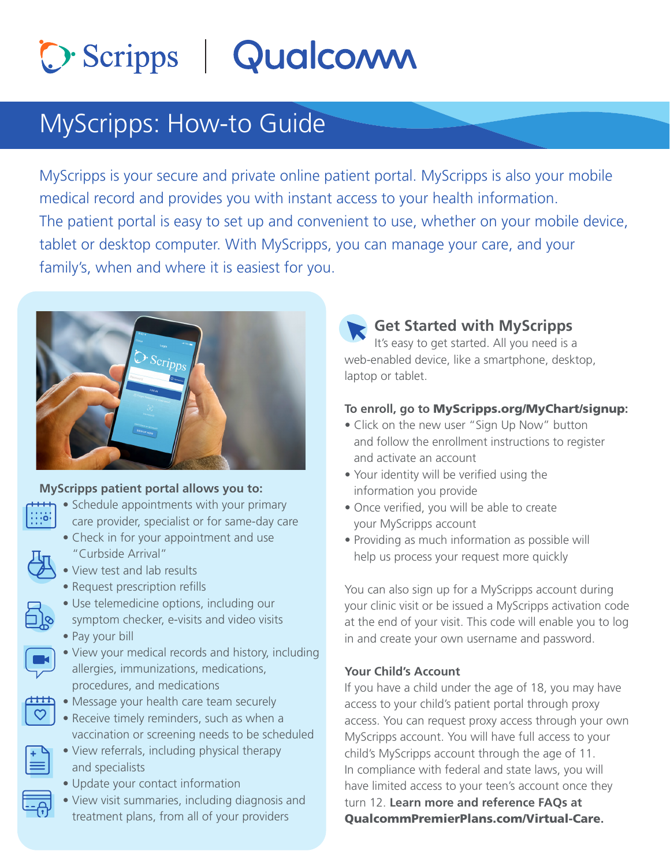# O. Scripps | Qualcomm

### MyScripps: How-to Guide

MyScripps is your secure and private online patient portal. MyScripps is also your mobile medical record and provides you with instant access to your health information. The patient portal is easy to set up and convenient to use, whether on your mobile device, tablet or desktop computer. With MyScripps, you can manage your care, and your family's, when and where it is easiest for you.



#### **MyScripps patient portal allows you to:**

- Schedule appointments with your primary care provider, specialist or for same-day care
	- Check in for your appointment and use "Curbside Arrival"
- View test and lab results
- Request prescription refills
- Use telemedicine options, including our symptom checker, e-visits and video visits
- Pay your bill



- View your medical records and history, including allergies, immunizations, medications, procedures, and medications
- $\overrightarrow{O}$  Message your health care team securely
	- Receive timely reminders, such as when a vaccination or screening needs to be scheduled
	- View referrals, including physical therapy and specialists
	- Update your contact information
	- View visit summaries, including diagnosis and treatment plans, from all of your providers

#### **Get Started with MyScripps**

 It's easy to get started. All you need is a web-enabled device, like a smartphone, desktop, laptop or tablet.

#### **To enroll, go to** MyScripps.org/MyChart/signup**:**

- Click on the new user "Sign Up Now" button and follow the enrollment instructions to register and activate an account
- Your identity will be verified using the information you provide
- Once verified, you will be able to create your MyScripps account
- Providing as much information as possible will help us process your request more quickly

You can also sign up for a MyScripps account during your clinic visit or be issued a MyScripps activation code at the end of your visit. This code will enable you to log in and create your own username and password.

#### **Your Child's Account**

If you have a child under the age of 18, you may have access to your child's patient portal through proxy access. You can request proxy access through your own MyScripps account. You will have full access to your child's MyScripps account through the age of 11. In compliance with federal and state laws, you will have limited access to your teen's account once they turn 12. **Learn more and reference FAQs at**  QualcommPremierPlans.com/Virtual-Care**.**